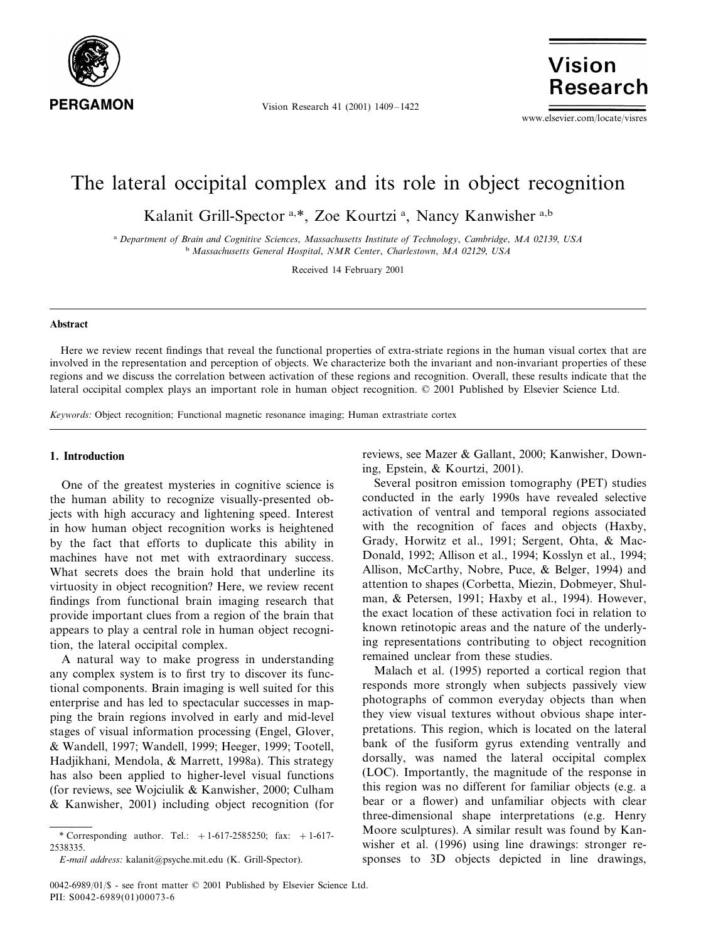

Vision Research 41 (2001) 1409–1422

**Vision Research** 

www.elsevier.com/locate/visres

# The lateral occipital complex and its role in object recognition

Kalanit Grill-Spector<sup>a,\*</sup>, Zoe Kourtzi<sup>a</sup>, Nancy Kanwisher<sup>a,b</sup>

<sup>a</sup> *Department of Brain and Cognitie Sciences*, *Massachusetts Institute of Technology*, *Cambridge*, *MA* <sup>02139</sup>, *USA* <sup>b</sup> *Massachusetts General Hospital*, *NMR Center*, *Charlestown*, *MA* <sup>02129</sup>, *USA*

Received 14 February 2001

#### **Abstract**

Here we review recent findings that reveal the functional properties of extra-striate regions in the human visual cortex that are involved in the representation and perception of objects. We characterize both the invariant and non-invariant properties of these regions and we discuss the correlation between activation of these regions and recognition. Overall, these results indicate that the lateral occipital complex plays an important role in human object recognition. © 2001 Published by Elsevier Science Ltd.

*Keywords*: Object recognition; Functional magnetic resonance imaging; Human extrastriate cortex

# **1. Introduction**

One of the greatest mysteries in cognitive science is the human ability to recognize visually-presented objects with high accuracy and lightening speed. Interest in how human object recognition works is heightened by the fact that efforts to duplicate this ability in machines have not met with extraordinary success. What secrets does the brain hold that underline its virtuosity in object recognition? Here, we review recent findings from functional brain imaging research that provide important clues from a region of the brain that appears to play a central role in human object recognition, the lateral occipital complex.

A natural way to make progress in understanding any complex system is to first try to discover its functional components. Brain imaging is well suited for this enterprise and has led to spectacular successes in mapping the brain regions involved in early and mid-level stages of visual information processing (Engel, Glover, & Wandell, 1997; Wandell, 1999; Heeger, 1999; Tootell, Hadjikhani, Mendola, & Marrett, 1998a). This strategy has also been applied to higher-level visual functions (for reviews, see Wojciulik & Kanwisher, 2000; Culham & Kanwisher, 2001) including object recognition (for reviews, see Mazer & Gallant, 2000; Kanwisher, Downing, Epstein, & Kourtzi, 2001).

Several positron emission tomography (PET) studies conducted in the early 1990s have revealed selective activation of ventral and temporal regions associated with the recognition of faces and objects (Haxby, Grady, Horwitz et al., 1991; Sergent, Ohta, & Mac-Donald, 1992; Allison et al., 1994; Kosslyn et al., 1994; Allison, McCarthy, Nobre, Puce, & Belger, 1994) and attention to shapes (Corbetta, Miezin, Dobmeyer, Shulman, & Petersen, 1991; Haxby et al., 1994). However, the exact location of these activation foci in relation to known retinotopic areas and the nature of the underlying representations contributing to object recognition remained unclear from these studies.

Malach et al. (1995) reported a cortical region that responds more strongly when subjects passively view photographs of common everyday objects than when they view visual textures without obvious shape interpretations. This region, which is located on the lateral bank of the fusiform gyrus extending ventrally and dorsally, was named the lateral occipital complex (LOC). Importantly, the magnitude of the response in this region was no different for familiar objects (e.g. a bear or a flower) and unfamiliar objects with clear three-dimensional shape interpretations (e.g. Henry Moore sculptures). A similar result was found by Kanwisher et al. (1996) using line drawings: stronger responses to 3D objects depicted in line drawings,

<sup>\*</sup> Corresponding author. Tel.:  $+1-617-2585250$ ; fax:  $+1-617-$ 2538335.

*E*-*mail address*: kalanit@psyche.mit.edu (K. Grill-Spector).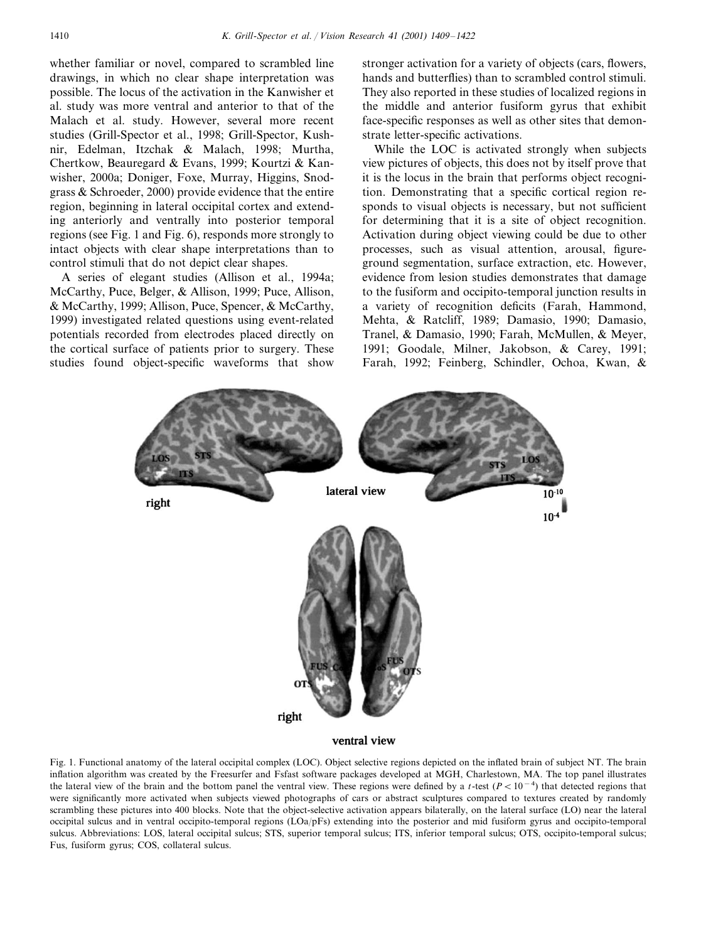whether familiar or novel, compared to scrambled line drawings, in which no clear shape interpretation was possible. The locus of the activation in the Kanwisher et al. study was more ventral and anterior to that of the Malach et al. study. However, several more recent studies (Grill-Spector et al., 1998; Grill-Spector, Kushnir, Edelman, Itzchak & Malach, 1998; Murtha, Chertkow, Beauregard & Evans, 1999; Kourtzi & Kanwisher, 2000a; Doniger, Foxe, Murray, Higgins, Snodgrass & Schroeder, 2000) provide evidence that the entire region, beginning in lateral occipital cortex and extending anteriorly and ventrally into posterior temporal regions (see Fig. 1 and Fig. 6), responds more strongly to intact objects with clear shape interpretations than to control stimuli that do not depict clear shapes.

A series of elegant studies (Allison et al., 1994a; McCarthy, Puce, Belger, & Allison, 1999; Puce, Allison, & McCarthy, 1999; Allison, Puce, Spencer, & McCarthy, 1999) investigated related questions using event-related potentials recorded from electrodes placed directly on the cortical surface of patients prior to surgery. These studies found object-specific waveforms that show stronger activation for a variety of objects (cars, flowers, hands and butterflies) than to scrambled control stimuli. They also reported in these studies of localized regions in the middle and anterior fusiform gyrus that exhibit face-specific responses as well as other sites that demonstrate letter-specific activations.

While the LOC is activated strongly when subjects view pictures of objects, this does not by itself prove that it is the locus in the brain that performs object recognition. Demonstrating that a specific cortical region responds to visual objects is necessary, but not sufficient for determining that it is a site of object recognition. Activation during object viewing could be due to other processes, such as visual attention, arousal, figureground segmentation, surface extraction, etc. However, evidence from lesion studies demonstrates that damage to the fusiform and occipito-temporal junction results in a variety of recognition deficits (Farah, Hammond, Mehta, & Ratcliff, 1989; Damasio, 1990; Damasio, Tranel, & Damasio, 1990; Farah, McMullen, & Meyer, 1991; Goodale, Milner, Jakobson, & Carey, 1991; Farah, 1992; Feinberg, Schindler, Ochoa, Kwan, &



#### ventral view

Fig. 1. Functional anatomy of the lateral occipital complex (LOC). Object selective regions depicted on the inflated brain of subject NT. The brain inflation algorithm was created by the Freesurfer and Fsfast software packages developed at MGH, Charlestown, MA. The top panel illustrates the lateral view of the brain and the bottom panel the ventral view. These regions were defined by a *t*-test  $(P < 10<sup>-4</sup>)$  that detected regions that were significantly more activated when subjects viewed photographs of cars or abstract sculptures compared to textures created by randomly scrambling these pictures into 400 blocks. Note that the object-selective activation appears bilaterally, on the lateral surface (LO) near the lateral occipital sulcus and in ventral occipito-temporal regions (LOa/pFs) extending into the posterior and mid fusiform gyrus and occipito-temporal sulcus. Abbreviations: LOS, lateral occipital sulcus; STS, superior temporal sulcus; ITS, inferior temporal sulcus; OTS, occipito-temporal sulcus; Fus, fusiform gyrus; COS, collateral sulcus.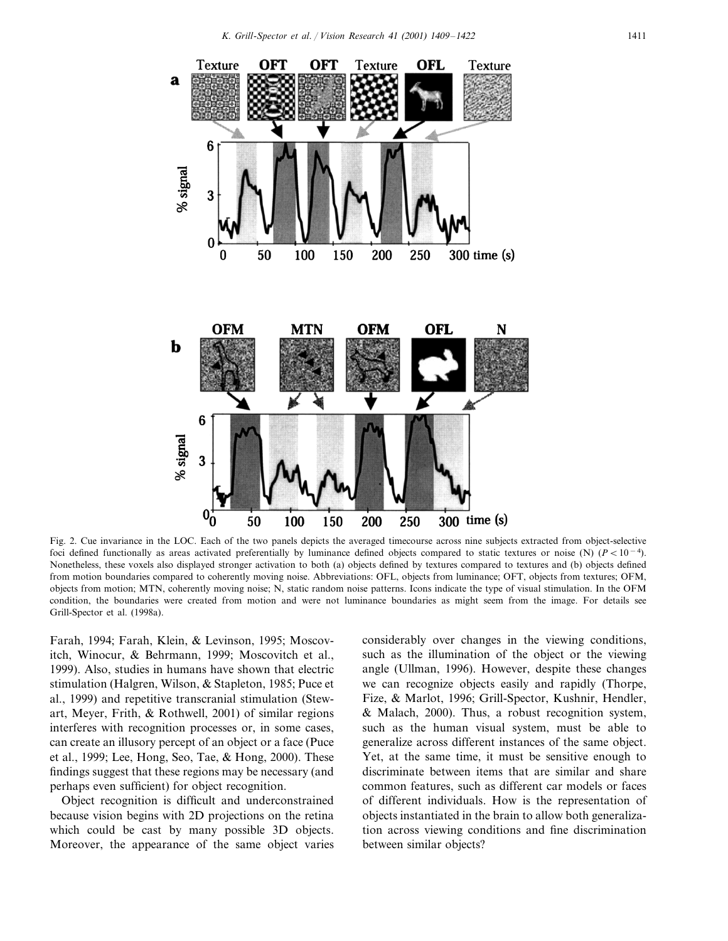

Fig. 2. Cue invariance in the LOC. Each of the two panels depicts the averaged timecourse across nine subjects extracted from object-selective foci defined functionally as areas activated preferentially by luminance defined objects compared to static textures or noise (N)  $(P < 10^{-4})$ . Nonetheless, these voxels also displayed stronger activation to both (a) objects defined by textures compared to textures and (b) objects defined from motion boundaries compared to coherently moving noise. Abbreviations: OFL, objects from luminance; OFT, objects from textures; OFM, objects from motion; MTN, coherently moving noise; N, static random noise patterns. Icons indicate the type of visual stimulation. In the OFM condition, the boundaries were created from motion and were not luminance boundaries as might seem from the image. For details see Grill-Spector et al. (1998a).

Farah, 1994; Farah, Klein, & Levinson, 1995; Moscovitch, Winocur, & Behrmann, 1999; Moscovitch et al., 1999). Also, studies in humans have shown that electric stimulation (Halgren, Wilson, & Stapleton, 1985; Puce et al., 1999) and repetitive transcranial stimulation (Stewart, Meyer, Frith, & Rothwell, 2001) of similar regions interferes with recognition processes or, in some cases, can create an illusory percept of an object or a face (Puce et al., 1999; Lee, Hong, Seo, Tae, & Hong, 2000). These findings suggest that these regions may be necessary (and perhaps even sufficient) for object recognition.

Object recognition is difficult and underconstrained because vision begins with 2D projections on the retina which could be cast by many possible 3D objects. Moreover, the appearance of the same object varies

considerably over changes in the viewing conditions, such as the illumination of the object or the viewing angle (Ullman, 1996). However, despite these changes we can recognize objects easily and rapidly (Thorpe, Fize, & Marlot, 1996; Grill-Spector, Kushnir, Hendler, & Malach, 2000). Thus, a robust recognition system, such as the human visual system, must be able to generalize across different instances of the same object. Yet, at the same time, it must be sensitive enough to discriminate between items that are similar and share common features, such as different car models or faces of different individuals. How is the representation of objects instantiated in the brain to allow both generalization across viewing conditions and fine discrimination between similar objects?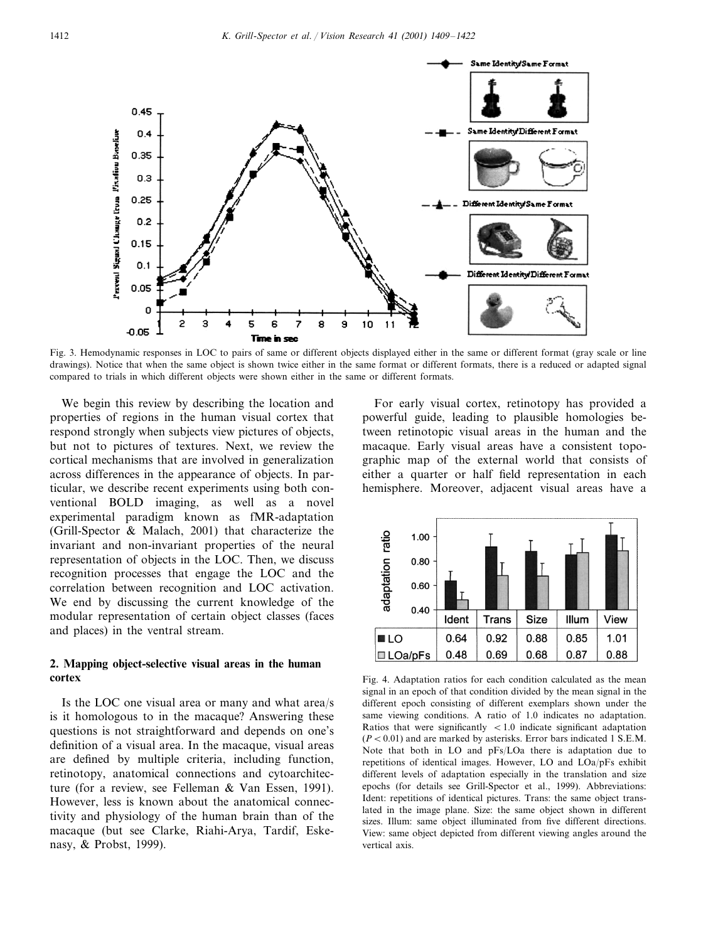

Fig. 3. Hemodynamic responses in LOC to pairs of same or different objects displayed either in the same or different format (gray scale or line drawings). Notice that when the same object is shown twice either in the same format or different formats, there is a reduced or adapted signal compared to trials in which different objects were shown either in the same or different formats.

We begin this review by describing the location and properties of regions in the human visual cortex that respond strongly when subjects view pictures of objects, but not to pictures of textures. Next, we review the cortical mechanisms that are involved in generalization across differences in the appearance of objects. In particular, we describe recent experiments using both conventional BOLD imaging, as well as a novel experimental paradigm known as fMR-adaptation (Grill-Spector & Malach, 2001) that characterize the invariant and non-invariant properties of the neural representation of objects in the LOC. Then, we discuss recognition processes that engage the LOC and the correlation between recognition and LOC activation. We end by discussing the current knowledge of the modular representation of certain object classes (faces and places) in the ventral stream.

# **2. Mapping object-selective visual areas in the human cortex**

Is the LOC one visual area or many and what area/s is it homologous to in the macaque? Answering these questions is not straightforward and depends on one's definition of a visual area. In the macaque, visual areas are defined by multiple criteria, including function, retinotopy, anatomical connections and cytoarchitecture (for a review, see Felleman & Van Essen, 1991). However, less is known about the anatomical connectivity and physiology of the human brain than of the macaque (but see Clarke, Riahi-Arya, Tardif, Eskenasy, & Probst, 1999).

For early visual cortex, retinotopy has provided a powerful guide, leading to plausible homologies between retinotopic visual areas in the human and the macaque. Early visual areas have a consistent topographic map of the external world that consists of either a quarter or half field representation in each hemisphere. Moreover, adjacent visual areas have a



Fig. 4. Adaptation ratios for each condition calculated as the mean signal in an epoch of that condition divided by the mean signal in the different epoch consisting of different exemplars shown under the same viewing conditions. A ratio of 1.0 indicates no adaptation. Ratios that were significantly  $\langle 1.0 \rangle$  indicate significant adaptation  $(P<0.01)$  and are marked by asterisks. Error bars indicated 1 S.E.M. Note that both in LO and pFs/LOa there is adaptation due to repetitions of identical images. However, LO and LOa/pFs exhibit different levels of adaptation especially in the translation and size epochs (for details see Grill-Spector et al., 1999). Abbreviations: Ident: repetitions of identical pictures. Trans: the same object translated in the image plane. Size: the same object shown in different sizes. Illum: same object illuminated from five different directions. View: same object depicted from different viewing angles around the vertical axis.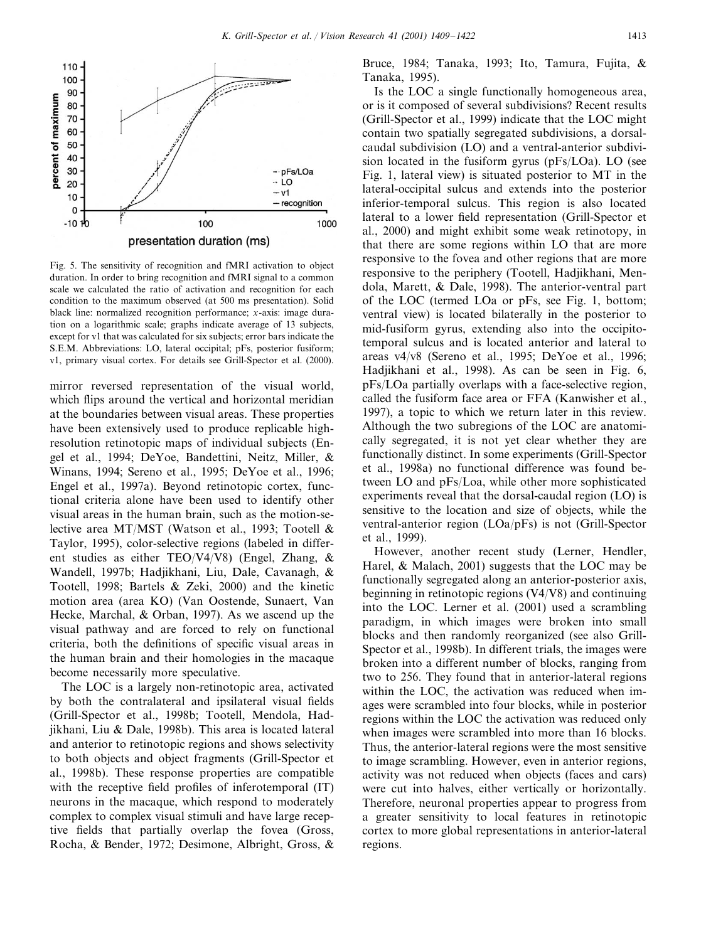

Fig. 5. The sensitivity of recognition and fMRI activation to object duration. In order to bring recognition and fMRI signal to a common scale we calculated the ratio of activation and recognition for each condition to the maximum observed (at 500 ms presentation). Solid black line: normalized recognition performance; *x*-axis: image duration on a logarithmic scale; graphs indicate average of 13 subjects, except for v1 that was calculated for six subjects; error bars indicate the S.E.M. Abbreviations: LO, lateral occipital; pFs, posterior fusiform; v1, primary visual cortex. For details see Grill-Spector et al. (2000).

mirror reversed representation of the visual world, which flips around the vertical and horizontal meridian at the boundaries between visual areas. These properties have been extensively used to produce replicable highresolution retinotopic maps of individual subjects (Engel et al., 1994; DeYoe, Bandettini, Neitz, Miller, & Winans, 1994; Sereno et al., 1995; DeYoe et al., 1996; Engel et al., 1997a). Beyond retinotopic cortex, functional criteria alone have been used to identify other visual areas in the human brain, such as the motion-selective area MT/MST (Watson et al., 1993; Tootell & Taylor, 1995), color-selective regions (labeled in different studies as either TEO/V4/V8) (Engel, Zhang, & Wandell, 1997b; Hadjikhani, Liu, Dale, Cavanagh, & Tootell, 1998; Bartels & Zeki, 2000) and the kinetic motion area (area KO) (Van Oostende, Sunaert, Van Hecke, Marchal, & Orban, 1997). As we ascend up the visual pathway and are forced to rely on functional criteria, both the definitions of specific visual areas in the human brain and their homologies in the macaque become necessarily more speculative.

The LOC is a largely non-retinotopic area, activated by both the contralateral and ipsilateral visual fields (Grill-Spector et al., 1998b; Tootell, Mendola, Hadjikhani, Liu & Dale, 1998b). This area is located lateral and anterior to retinotopic regions and shows selectivity to both objects and object fragments (Grill-Spector et al., 1998b). These response properties are compatible with the receptive field profiles of inferotemporal (IT) neurons in the macaque, which respond to moderately complex to complex visual stimuli and have large receptive fields that partially overlap the fovea (Gross, Rocha, & Bender, 1972; Desimone, Albright, Gross, &

Bruce, 1984; Tanaka, 1993; Ito, Tamura, Fujita, & Tanaka, 1995).

Is the LOC a single functionally homogeneous area, or is it composed of several subdivisions? Recent results (Grill-Spector et al., 1999) indicate that the LOC might contain two spatially segregated subdivisions, a dorsalcaudal subdivision (LO) and a ventral-anterior subdivision located in the fusiform gyrus (pFs/LOa). LO (see Fig. 1, lateral view) is situated posterior to MT in the lateral-occipital sulcus and extends into the posterior inferior-temporal sulcus. This region is also located lateral to a lower field representation (Grill-Spector et al., 2000) and might exhibit some weak retinotopy, in that there are some regions within LO that are more responsive to the fovea and other regions that are more responsive to the periphery (Tootell, Hadjikhani, Mendola, Marett, & Dale, 1998). The anterior-ventral part of the LOC (termed LOa or pFs, see Fig. 1, bottom; ventral view) is located bilaterally in the posterior to mid-fusiform gyrus, extending also into the occipitotemporal sulcus and is located anterior and lateral to areas v4/v8 (Sereno et al., 1995; DeYoe et al., 1996; Hadjikhani et al., 1998). As can be seen in Fig. 6, pFs/LOa partially overlaps with a face-selective region, called the fusiform face area or FFA (Kanwisher et al., 1997), a topic to which we return later in this review. Although the two subregions of the LOC are anatomically segregated, it is not yet clear whether they are functionally distinct. In some experiments (Grill-Spector et al., 1998a) no functional difference was found between LO and pFs/Loa, while other more sophisticated experiments reveal that the dorsal-caudal region (LO) is sensitive to the location and size of objects, while the ventral-anterior region (LOa/pFs) is not (Grill-Spector et al., 1999).

However, another recent study (Lerner, Hendler, Harel, & Malach, 2001) suggests that the LOC may be functionally segregated along an anterior-posterior axis, beginning in retinotopic regions (V4/V8) and continuing into the LOC. Lerner et al. (2001) used a scrambling paradigm, in which images were broken into small blocks and then randomly reorganized (see also Grill-Spector et al., 1998b). In different trials, the images were broken into a different number of blocks, ranging from two to 256. They found that in anterior-lateral regions within the LOC, the activation was reduced when images were scrambled into four blocks, while in posterior regions within the LOC the activation was reduced only when images were scrambled into more than 16 blocks. Thus, the anterior-lateral regions were the most sensitive to image scrambling. However, even in anterior regions, activity was not reduced when objects (faces and cars) were cut into halves, either vertically or horizontally. Therefore, neuronal properties appear to progress from a greater sensitivity to local features in retinotopic cortex to more global representations in anterior-lateral regions.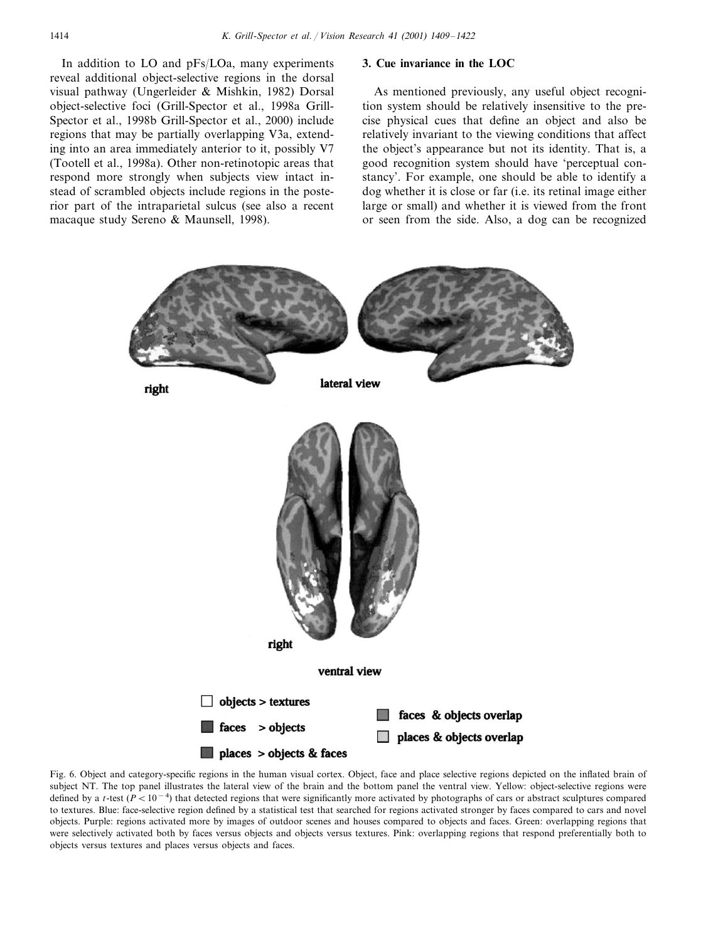In addition to LO and pFs/LOa, many experiments reveal additional object-selective regions in the dorsal visual pathway (Ungerleider & Mishkin, 1982) Dorsal object-selective foci (Grill-Spector et al., 1998a Grill-Spector et al., 1998b Grill-Spector et al., 2000) include regions that may be partially overlapping V3a, extending into an area immediately anterior to it, possibly V7 (Tootell et al., 1998a). Other non-retinotopic areas that respond more strongly when subjects view intact instead of scrambled objects include regions in the posterior part of the intraparietal sulcus (see also a recent macaque study Sereno & Maunsell, 1998).

### **3. Cue invariance in the LOC**

As mentioned previously, any useful object recognition system should be relatively insensitive to the precise physical cues that define an object and also be relatively invariant to the viewing conditions that affect the object's appearance but not its identity. That is, a good recognition system should have 'perceptual constancy'. For example, one should be able to identify a dog whether it is close or far (i.e. its retinal image either large or small) and whether it is viewed from the front or seen from the side. Also, a dog can be recognized



Fig. 6. Object and category-specific regions in the human visual cortex. Object, face and place selective regions depicted on the inflated brain of subject NT. The top panel illustrates the lateral view of the brain and the bottom panel the ventral view. Yellow: object-selective regions were defined by a *t*-test ( $P < 10^{-4}$ ) that detected regions that were significantly more activated by photographs of cars or abstract sculptures compared to textures. Blue: face-selective region defined by a statistical test that searched for regions activated stronger by faces compared to cars and novel objects. Purple: regions activated more by images of outdoor scenes and houses compared to objects and faces. Green: overlapping regions that were selectively activated both by faces versus objects and objects versus textures. Pink: overlapping regions that respond preferentially both to objects versus textures and places versus objects and faces.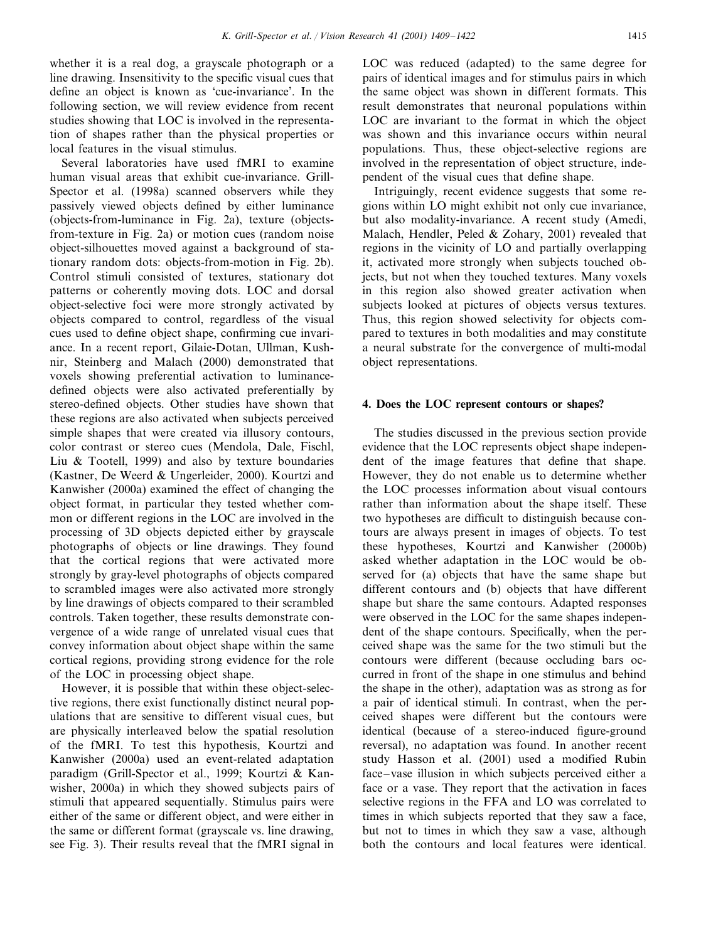whether it is a real dog, a grayscale photograph or a line drawing. Insensitivity to the specific visual cues that define an object is known as 'cue-invariance'. In the following section, we will review evidence from recent studies showing that LOC is involved in the representation of shapes rather than the physical properties or local features in the visual stimulus.

Several laboratories have used fMRI to examine human visual areas that exhibit cue-invariance. Grill-Spector et al. (1998a) scanned observers while they passively viewed objects defined by either luminance (objects-from-luminance in Fig. 2a), texture (objectsfrom-texture in Fig. 2a) or motion cues (random noise object-silhouettes moved against a background of stationary random dots: objects-from-motion in Fig. 2b). Control stimuli consisted of textures, stationary dot patterns or coherently moving dots. LOC and dorsal object-selective foci were more strongly activated by objects compared to control, regardless of the visual cues used to define object shape, confirming cue invariance. In a recent report, Gilaie-Dotan, Ullman, Kushnir, Steinberg and Malach (2000) demonstrated that voxels showing preferential activation to luminancedefined objects were also activated preferentially by stereo-defined objects. Other studies have shown that these regions are also activated when subjects perceived simple shapes that were created via illusory contours, color contrast or stereo cues (Mendola, Dale, Fischl, Liu & Tootell, 1999) and also by texture boundaries (Kastner, De Weerd & Ungerleider, 2000). Kourtzi and Kanwisher (2000a) examined the effect of changing the object format, in particular they tested whether common or different regions in the LOC are involved in the processing of 3D objects depicted either by grayscale photographs of objects or line drawings. They found that the cortical regions that were activated more strongly by gray-level photographs of objects compared to scrambled images were also activated more strongly by line drawings of objects compared to their scrambled controls. Taken together, these results demonstrate convergence of a wide range of unrelated visual cues that convey information about object shape within the same cortical regions, providing strong evidence for the role of the LOC in processing object shape.

However, it is possible that within these object-selective regions, there exist functionally distinct neural populations that are sensitive to different visual cues, but are physically interleaved below the spatial resolution of the fMRI. To test this hypothesis, Kourtzi and Kanwisher (2000a) used an event-related adaptation paradigm (Grill-Spector et al., 1999; Kourtzi & Kanwisher, 2000a) in which they showed subjects pairs of stimuli that appeared sequentially. Stimulus pairs were either of the same or different object, and were either in the same or different format (grayscale vs. line drawing, see Fig. 3). Their results reveal that the fMRI signal in

LOC was reduced (adapted) to the same degree for pairs of identical images and for stimulus pairs in which the same object was shown in different formats. This result demonstrates that neuronal populations within LOC are invariant to the format in which the object was shown and this invariance occurs within neural populations. Thus, these object-selective regions are involved in the representation of object structure, independent of the visual cues that define shape.

Intriguingly, recent evidence suggests that some regions within LO might exhibit not only cue invariance, but also modality-invariance. A recent study (Amedi, Malach, Hendler, Peled & Zohary, 2001) revealed that regions in the vicinity of LO and partially overlapping it, activated more strongly when subjects touched objects, but not when they touched textures. Many voxels in this region also showed greater activation when subjects looked at pictures of objects versus textures. Thus, this region showed selectivity for objects compared to textures in both modalities and may constitute a neural substrate for the convergence of multi-modal object representations.

## **4. Does the LOC represent contours or shapes?**

The studies discussed in the previous section provide evidence that the LOC represents object shape independent of the image features that define that shape. However, they do not enable us to determine whether the LOC processes information about visual contours rather than information about the shape itself. These two hypotheses are difficult to distinguish because contours are always present in images of objects. To test these hypotheses, Kourtzi and Kanwisher (2000b) asked whether adaptation in the LOC would be observed for (a) objects that have the same shape but different contours and (b) objects that have different shape but share the same contours. Adapted responses were observed in the LOC for the same shapes independent of the shape contours. Specifically, when the perceived shape was the same for the two stimuli but the contours were different (because occluding bars occurred in front of the shape in one stimulus and behind the shape in the other), adaptation was as strong as for a pair of identical stimuli. In contrast, when the perceived shapes were different but the contours were identical (because of a stereo-induced figure-ground reversal), no adaptation was found. In another recent study Hasson et al. (2001) used a modified Rubin face–vase illusion in which subjects perceived either a face or a vase. They report that the activation in faces selective regions in the FFA and LO was correlated to times in which subjects reported that they saw a face, but not to times in which they saw a vase, although both the contours and local features were identical.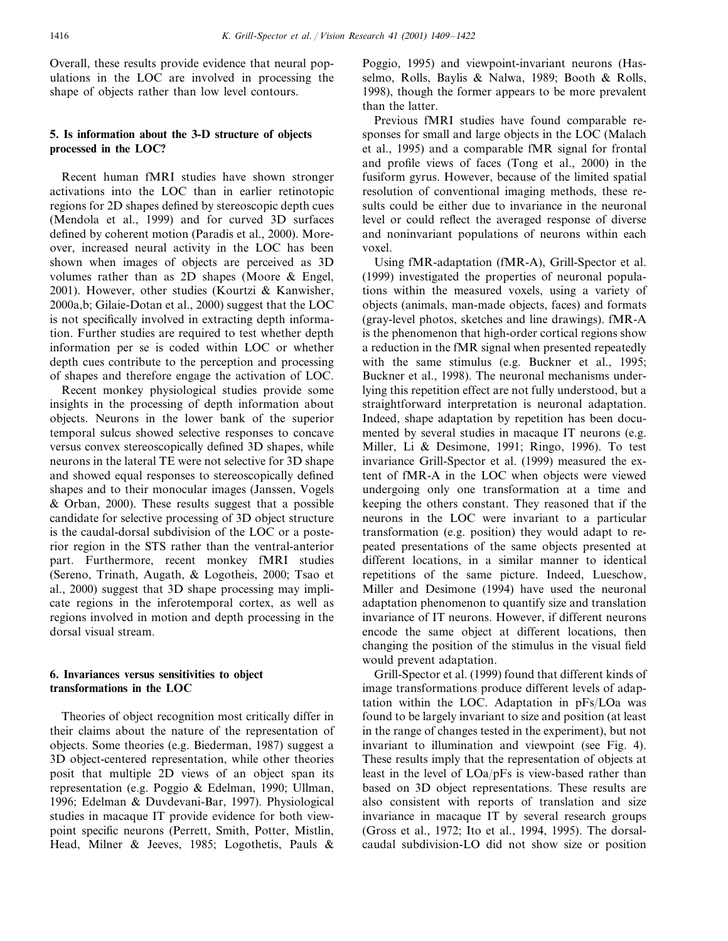Overall, these results provide evidence that neural populations in the LOC are involved in processing the shape of objects rather than low level contours.

# **5. Is information about the 3-D structure of objects processed in the LOC?**

Recent human fMRI studies have shown stronger activations into the LOC than in earlier retinotopic regions for 2D shapes defined by stereoscopic depth cues (Mendola et al., 1999) and for curved 3D surfaces defined by coherent motion (Paradis et al., 2000). Moreover, increased neural activity in the LOC has been shown when images of objects are perceived as 3D volumes rather than as 2D shapes (Moore & Engel, 2001). However, other studies (Kourtzi & Kanwisher, 2000a,b; Gilaie-Dotan et al., 2000) suggest that the LOC is not specifically involved in extracting depth information. Further studies are required to test whether depth information per se is coded within LOC or whether depth cues contribute to the perception and processing of shapes and therefore engage the activation of LOC.

Recent monkey physiological studies provide some insights in the processing of depth information about objects. Neurons in the lower bank of the superior temporal sulcus showed selective responses to concave versus convex stereoscopically defined 3D shapes, while neurons in the lateral TE were not selective for 3D shape and showed equal responses to stereoscopically defined shapes and to their monocular images (Janssen, Vogels & Orban, 2000). These results suggest that a possible candidate for selective processing of 3D object structure is the caudal-dorsal subdivision of the LOC or a posterior region in the STS rather than the ventral-anterior part. Furthermore, recent monkey fMRI studies (Sereno, Trinath, Augath, & Logotheis, 2000; Tsao et al., 2000) suggest that 3D shape processing may implicate regions in the inferotemporal cortex, as well as regions involved in motion and depth processing in the dorsal visual stream.

# **6. Invariances versus sensitivities to object transformations in the LOC**

Theories of object recognition most critically differ in their claims about the nature of the representation of objects. Some theories (e.g. Biederman, 1987) suggest a 3D object-centered representation, while other theories posit that multiple 2D views of an object span its representation (e.g. Poggio & Edelman, 1990; Ullman, 1996; Edelman & Duvdevani-Bar, 1997). Physiological studies in macaque IT provide evidence for both viewpoint specific neurons (Perrett, Smith, Potter, Mistlin, Head, Milner & Jeeves, 1985; Logothetis, Pauls &

Poggio, 1995) and viewpoint-invariant neurons (Hasselmo, Rolls, Baylis & Nalwa, 1989; Booth & Rolls, 1998), though the former appears to be more prevalent than the latter.

Previous fMRI studies have found comparable responses for small and large objects in the LOC (Malach et al., 1995) and a comparable fMR signal for frontal and profile views of faces (Tong et al., 2000) in the fusiform gyrus. However, because of the limited spatial resolution of conventional imaging methods, these results could be either due to invariance in the neuronal level or could reflect the averaged response of diverse and noninvariant populations of neurons within each voxel.

Using fMR-adaptation (fMR-A), Grill-Spector et al. (1999) investigated the properties of neuronal populations within the measured voxels, using a variety of objects (animals, man-made objects, faces) and formats (gray-level photos, sketches and line drawings). fMR-A is the phenomenon that high-order cortical regions show a reduction in the fMR signal when presented repeatedly with the same stimulus (e.g. Buckner et al., 1995; Buckner et al., 1998). The neuronal mechanisms underlying this repetition effect are not fully understood, but a straightforward interpretation is neuronal adaptation. Indeed, shape adaptation by repetition has been documented by several studies in macaque IT neurons (e.g. Miller, Li & Desimone, 1991; Ringo, 1996). To test invariance Grill-Spector et al. (1999) measured the extent of fMR-A in the LOC when objects were viewed undergoing only one transformation at a time and keeping the others constant. They reasoned that if the neurons in the LOC were invariant to a particular transformation (e.g. position) they would adapt to repeated presentations of the same objects presented at different locations, in a similar manner to identical repetitions of the same picture. Indeed, Lueschow, Miller and Desimone (1994) have used the neuronal adaptation phenomenon to quantify size and translation invariance of IT neurons. However, if different neurons encode the same object at different locations, then changing the position of the stimulus in the visual field would prevent adaptation.

Grill-Spector et al. (1999) found that different kinds of image transformations produce different levels of adaptation within the LOC. Adaptation in pFs/LOa was found to be largely invariant to size and position (at least in the range of changes tested in the experiment), but not invariant to illumination and viewpoint (see Fig. 4). These results imply that the representation of objects at least in the level of LOa/pFs is view-based rather than based on 3D object representations. These results are also consistent with reports of translation and size invariance in macaque IT by several research groups (Gross et al., 1972; Ito et al., 1994, 1995). The dorsalcaudal subdivision-LO did not show size or position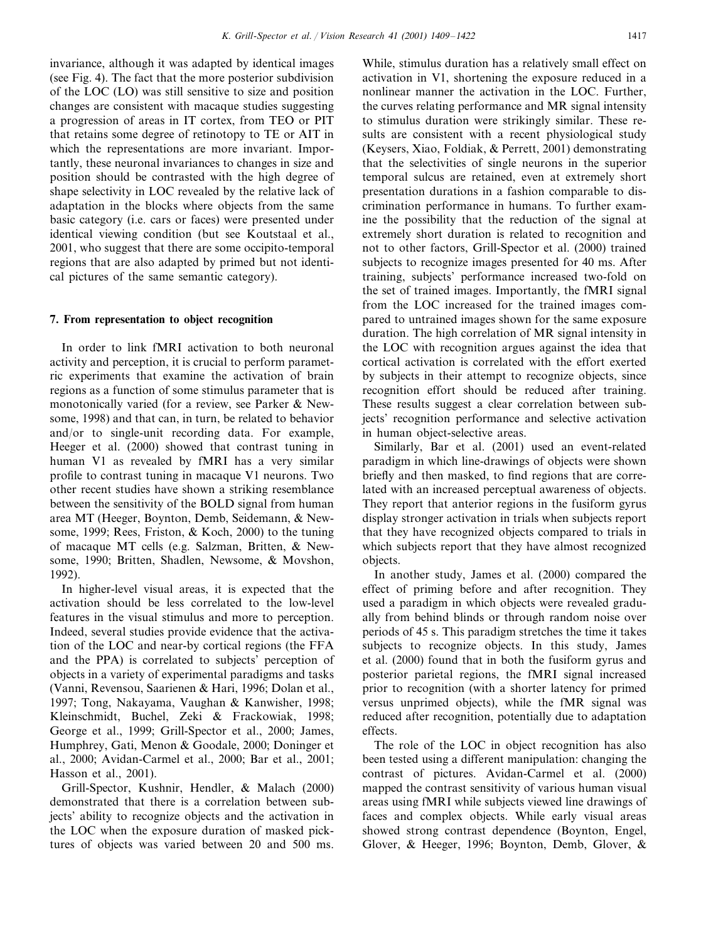invariance, although it was adapted by identical images (see Fig. 4). The fact that the more posterior subdivision of the LOC (LO) was still sensitive to size and position changes are consistent with macaque studies suggesting a progression of areas in IT cortex, from TEO or PIT that retains some degree of retinotopy to TE or AIT in which the representations are more invariant. Importantly, these neuronal invariances to changes in size and position should be contrasted with the high degree of shape selectivity in LOC revealed by the relative lack of adaptation in the blocks where objects from the same basic category (i.e. cars or faces) were presented under identical viewing condition (but see Koutstaal et al., 2001, who suggest that there are some occipito-temporal regions that are also adapted by primed but not identical pictures of the same semantic category).

## **7. From representation to object recognition**

In order to link fMRI activation to both neuronal activity and perception, it is crucial to perform parametric experiments that examine the activation of brain regions as a function of some stimulus parameter that is monotonically varied (for a review, see Parker & Newsome, 1998) and that can, in turn, be related to behavior and/or to single-unit recording data. For example, Heeger et al. (2000) showed that contrast tuning in human V1 as revealed by fMRI has a very similar profile to contrast tuning in macaque V1 neurons. Two other recent studies have shown a striking resemblance between the sensitivity of the BOLD signal from human area MT (Heeger, Boynton, Demb, Seidemann, & Newsome, 1999; Rees, Friston, & Koch, 2000) to the tuning of macaque MT cells (e.g. Salzman, Britten, & Newsome, 1990; Britten, Shadlen, Newsome, & Movshon, 1992).

In higher-level visual areas, it is expected that the activation should be less correlated to the low-level features in the visual stimulus and more to perception. Indeed, several studies provide evidence that the activation of the LOC and near-by cortical regions (the FFA and the PPA) is correlated to subjects' perception of objects in a variety of experimental paradigms and tasks (Vanni, Revensou, Saarienen & Hari, 1996; Dolan et al., 1997; Tong, Nakayama, Vaughan & Kanwisher, 1998; Kleinschmidt, Buchel, Zeki & Frackowiak, 1998; George et al., 1999; Grill-Spector et al., 2000; James, Humphrey, Gati, Menon & Goodale, 2000; Doninger et al., 2000; Avidan-Carmel et al., 2000; Bar et al., 2001; Hasson et al., 2001).

Grill-Spector, Kushnir, Hendler, & Malach (2000) demonstrated that there is a correlation between subjects' ability to recognize objects and the activation in the LOC when the exposure duration of masked picktures of objects was varied between 20 and 500 ms.

While, stimulus duration has a relatively small effect on activation in V1, shortening the exposure reduced in a nonlinear manner the activation in the LOC. Further, the curves relating performance and MR signal intensity to stimulus duration were strikingly similar. These results are consistent with a recent physiological study (Keysers, Xiao, Foldiak, & Perrett, 2001) demonstrating that the selectivities of single neurons in the superior temporal sulcus are retained, even at extremely short presentation durations in a fashion comparable to discrimination performance in humans. To further examine the possibility that the reduction of the signal at extremely short duration is related to recognition and not to other factors, Grill-Spector et al. (2000) trained subjects to recognize images presented for 40 ms. After training, subjects' performance increased two-fold on the set of trained images. Importantly, the fMRI signal from the LOC increased for the trained images compared to untrained images shown for the same exposure duration. The high correlation of MR signal intensity in the LOC with recognition argues against the idea that cortical activation is correlated with the effort exerted by subjects in their attempt to recognize objects, since recognition effort should be reduced after training. These results suggest a clear correlation between subjects' recognition performance and selective activation in human object-selective areas.

Similarly, Bar et al. (2001) used an event-related paradigm in which line-drawings of objects were shown briefly and then masked, to find regions that are correlated with an increased perceptual awareness of objects. They report that anterior regions in the fusiform gyrus display stronger activation in trials when subjects report that they have recognized objects compared to trials in which subjects report that they have almost recognized objects.

In another study, James et al. (2000) compared the effect of priming before and after recognition. They used a paradigm in which objects were revealed gradually from behind blinds or through random noise over periods of 45 s. This paradigm stretches the time it takes subjects to recognize objects. In this study, James et al. (2000) found that in both the fusiform gyrus and posterior parietal regions, the fMRI signal increased prior to recognition (with a shorter latency for primed versus unprimed objects), while the fMR signal was reduced after recognition, potentially due to adaptation effects.

The role of the LOC in object recognition has also been tested using a different manipulation: changing the contrast of pictures. Avidan-Carmel et al. (2000) mapped the contrast sensitivity of various human visual areas using fMRI while subjects viewed line drawings of faces and complex objects. While early visual areas showed strong contrast dependence (Boynton, Engel, Glover, & Heeger, 1996; Boynton, Demb, Glover, &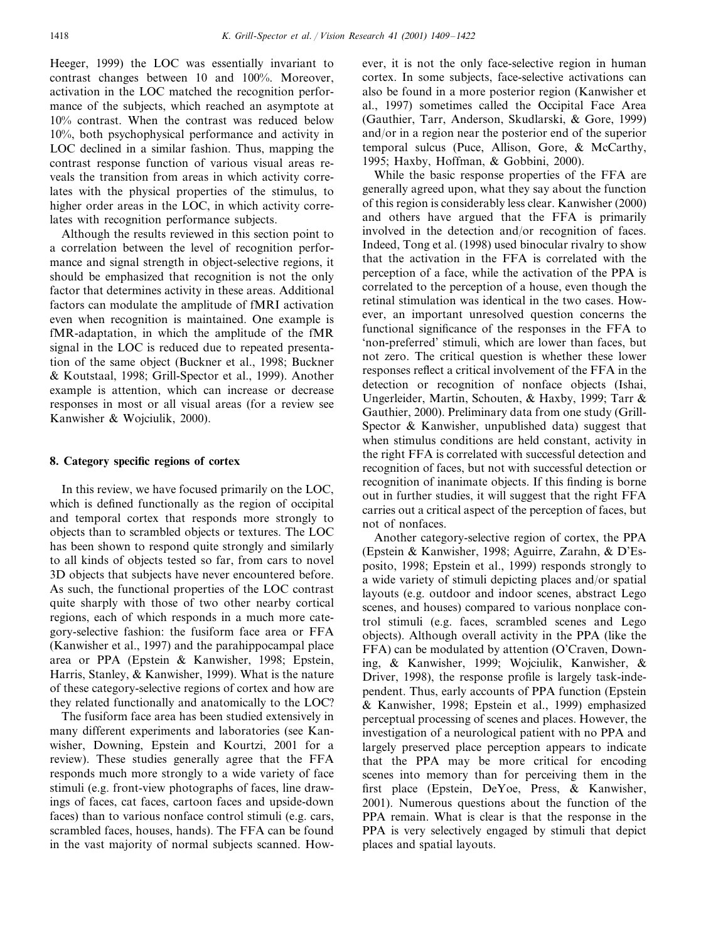Heeger, 1999) the LOC was essentially invariant to contrast changes between 10 and 100%. Moreover, activation in the LOC matched the recognition performance of the subjects, which reached an asymptote at 10% contrast. When the contrast was reduced below 10%, both psychophysical performance and activity in LOC declined in a similar fashion. Thus, mapping the contrast response function of various visual areas reveals the transition from areas in which activity correlates with the physical properties of the stimulus, to higher order areas in the LOC, in which activity correlates with recognition performance subjects.

Although the results reviewed in this section point to a correlation between the level of recognition performance and signal strength in object-selective regions, it should be emphasized that recognition is not the only factor that determines activity in these areas. Additional factors can modulate the amplitude of fMRI activation even when recognition is maintained. One example is fMR-adaptation, in which the amplitude of the fMR signal in the LOC is reduced due to repeated presentation of the same object (Buckner et al., 1998; Buckner & Koutstaal, 1998; Grill-Spector et al., 1999). Another example is attention, which can increase or decrease responses in most or all visual areas (for a review see Kanwisher & Wojciulik, 2000).

## **8. Category specific regions of cortex**

In this review, we have focused primarily on the LOC, which is defined functionally as the region of occipital and temporal cortex that responds more strongly to objects than to scrambled objects or textures. The LOC has been shown to respond quite strongly and similarly to all kinds of objects tested so far, from cars to novel 3D objects that subjects have never encountered before. As such, the functional properties of the LOC contrast quite sharply with those of two other nearby cortical regions, each of which responds in a much more category-selective fashion: the fusiform face area or FFA (Kanwisher et al., 1997) and the parahippocampal place area or PPA (Epstein & Kanwisher, 1998; Epstein, Harris, Stanley, & Kanwisher, 1999). What is the nature of these category-selective regions of cortex and how are they related functionally and anatomically to the LOC?

The fusiform face area has been studied extensively in many different experiments and laboratories (see Kanwisher, Downing, Epstein and Kourtzi, 2001 for a review). These studies generally agree that the FFA responds much more strongly to a wide variety of face stimuli (e.g. front-view photographs of faces, line drawings of faces, cat faces, cartoon faces and upside-down faces) than to various nonface control stimuli (e.g. cars, scrambled faces, houses, hands). The FFA can be found in the vast majority of normal subjects scanned. However, it is not the only face-selective region in human cortex. In some subjects, face-selective activations can also be found in a more posterior region (Kanwisher et al., 1997) sometimes called the Occipital Face Area (Gauthier, Tarr, Anderson, Skudlarski, & Gore, 1999) and/or in a region near the posterior end of the superior temporal sulcus (Puce, Allison, Gore, & McCarthy, 1995; Haxby, Hoffman, & Gobbini, 2000).

While the basic response properties of the FFA are generally agreed upon, what they say about the function of this region is considerably less clear. Kanwisher (2000) and others have argued that the FFA is primarily involved in the detection and/or recognition of faces. Indeed, Tong et al. (1998) used binocular rivalry to show that the activation in the FFA is correlated with the perception of a face, while the activation of the PPA is correlated to the perception of a house, even though the retinal stimulation was identical in the two cases. However, an important unresolved question concerns the functional significance of the responses in the FFA to 'non-preferred' stimuli, which are lower than faces, but not zero. The critical question is whether these lower responses reflect a critical involvement of the FFA in the detection or recognition of nonface objects (Ishai, Ungerleider, Martin, Schouten, & Haxby, 1999; Tarr & Gauthier, 2000). Preliminary data from one study (Grill-Spector & Kanwisher, unpublished data) suggest that when stimulus conditions are held constant, activity in the right FFA is correlated with successful detection and recognition of faces, but not with successful detection or recognition of inanimate objects. If this finding is borne out in further studies, it will suggest that the right FFA carries out a critical aspect of the perception of faces, but not of nonfaces.

Another category-selective region of cortex, the PPA (Epstein & Kanwisher, 1998; Aguirre, Zarahn, & D'Esposito, 1998; Epstein et al., 1999) responds strongly to a wide variety of stimuli depicting places and/or spatial layouts (e.g. outdoor and indoor scenes, abstract Lego scenes, and houses) compared to various nonplace control stimuli (e.g. faces, scrambled scenes and Lego objects). Although overall activity in the PPA (like the FFA) can be modulated by attention (O'Craven, Downing, & Kanwisher, 1999; Wojciulik, Kanwisher, & Driver, 1998), the response profile is largely task-independent. Thus, early accounts of PPA function (Epstein & Kanwisher, 1998; Epstein et al., 1999) emphasized perceptual processing of scenes and places. However, the investigation of a neurological patient with no PPA and largely preserved place perception appears to indicate that the PPA may be more critical for encoding scenes into memory than for perceiving them in the first place (Epstein, DeYoe, Press, & Kanwisher, 2001). Numerous questions about the function of the PPA remain. What is clear is that the response in the PPA is very selectively engaged by stimuli that depict places and spatial layouts.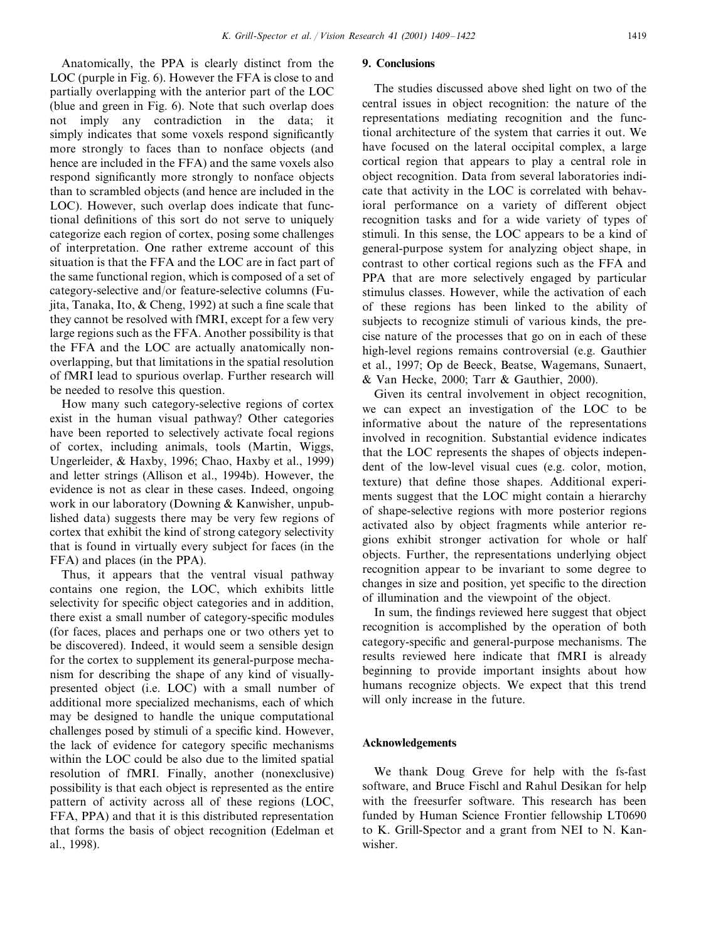Anatomically, the PPA is clearly distinct from the LOC (purple in Fig. 6). However the FFA is close to and partially overlapping with the anterior part of the LOC (blue and green in Fig. 6). Note that such overlap does not imply any contradiction in the data; it simply indicates that some voxels respond significantly more strongly to faces than to nonface objects (and hence are included in the FFA) and the same voxels also respond significantly more strongly to nonface objects than to scrambled objects (and hence are included in the LOC). However, such overlap does indicate that functional definitions of this sort do not serve to uniquely categorize each region of cortex, posing some challenges of interpretation. One rather extreme account of this situation is that the FFA and the LOC are in fact part of the same functional region, which is composed of a set of category-selective and/or feature-selective columns (Fujita, Tanaka, Ito, & Cheng, 1992) at such a fine scale that they cannot be resolved with fMRI, except for a few very large regions such as the FFA. Another possibility is that the FFA and the LOC are actually anatomically nonoverlapping, but that limitations in the spatial resolution of fMRI lead to spurious overlap. Further research will be needed to resolve this question.

How many such category-selective regions of cortex exist in the human visual pathway? Other categories have been reported to selectively activate focal regions of cortex, including animals, tools (Martin, Wiggs, Ungerleider, & Haxby, 1996; Chao, Haxby et al., 1999) and letter strings (Allison et al., 1994b). However, the evidence is not as clear in these cases. Indeed, ongoing work in our laboratory (Downing & Kanwisher, unpublished data) suggests there may be very few regions of cortex that exhibit the kind of strong category selectivity that is found in virtually every subject for faces (in the FFA) and places (in the PPA).

Thus, it appears that the ventral visual pathway contains one region, the LOC, which exhibits little selectivity for specific object categories and in addition, there exist a small number of category-specific modules (for faces, places and perhaps one or two others yet to be discovered). Indeed, it would seem a sensible design for the cortex to supplement its general-purpose mechanism for describing the shape of any kind of visuallypresented object (i.e. LOC) with a small number of additional more specialized mechanisms, each of which may be designed to handle the unique computational challenges posed by stimuli of a specific kind. However, the lack of evidence for category specific mechanisms within the LOC could be also due to the limited spatial resolution of fMRI. Finally, another (nonexclusive) possibility is that each object is represented as the entire pattern of activity across all of these regions (LOC, FFA, PPA) and that it is this distributed representation that forms the basis of object recognition (Edelman et al., 1998).

# **9. Conclusions**

The studies discussed above shed light on two of the central issues in object recognition: the nature of the representations mediating recognition and the functional architecture of the system that carries it out. We have focused on the lateral occipital complex, a large cortical region that appears to play a central role in object recognition. Data from several laboratories indicate that activity in the LOC is correlated with behavioral performance on a variety of different object recognition tasks and for a wide variety of types of stimuli. In this sense, the LOC appears to be a kind of general-purpose system for analyzing object shape, in contrast to other cortical regions such as the FFA and PPA that are more selectively engaged by particular stimulus classes. However, while the activation of each of these regions has been linked to the ability of subjects to recognize stimuli of various kinds, the precise nature of the processes that go on in each of these high-level regions remains controversial (e.g. Gauthier et al., 1997; Op de Beeck, Beatse, Wagemans, Sunaert, & Van Hecke, 2000; Tarr & Gauthier, 2000).

Given its central involvement in object recognition, we can expect an investigation of the LOC to be informative about the nature of the representations involved in recognition. Substantial evidence indicates that the LOC represents the shapes of objects independent of the low-level visual cues (e.g. color, motion, texture) that define those shapes. Additional experiments suggest that the LOC might contain a hierarchy of shape-selective regions with more posterior regions activated also by object fragments while anterior regions exhibit stronger activation for whole or half objects. Further, the representations underlying object recognition appear to be invariant to some degree to changes in size and position, yet specific to the direction of illumination and the viewpoint of the object.

In sum, the findings reviewed here suggest that object recognition is accomplished by the operation of both category-specific and general-purpose mechanisms. The results reviewed here indicate that fMRI is already beginning to provide important insights about how humans recognize objects. We expect that this trend will only increase in the future.

# **Acknowledgements**

We thank Doug Greve for help with the fs-fast software, and Bruce Fischl and Rahul Desikan for help with the freesurfer software. This research has been funded by Human Science Frontier fellowship LT0690 to K. Grill-Spector and a grant from NEI to N. Kanwisher.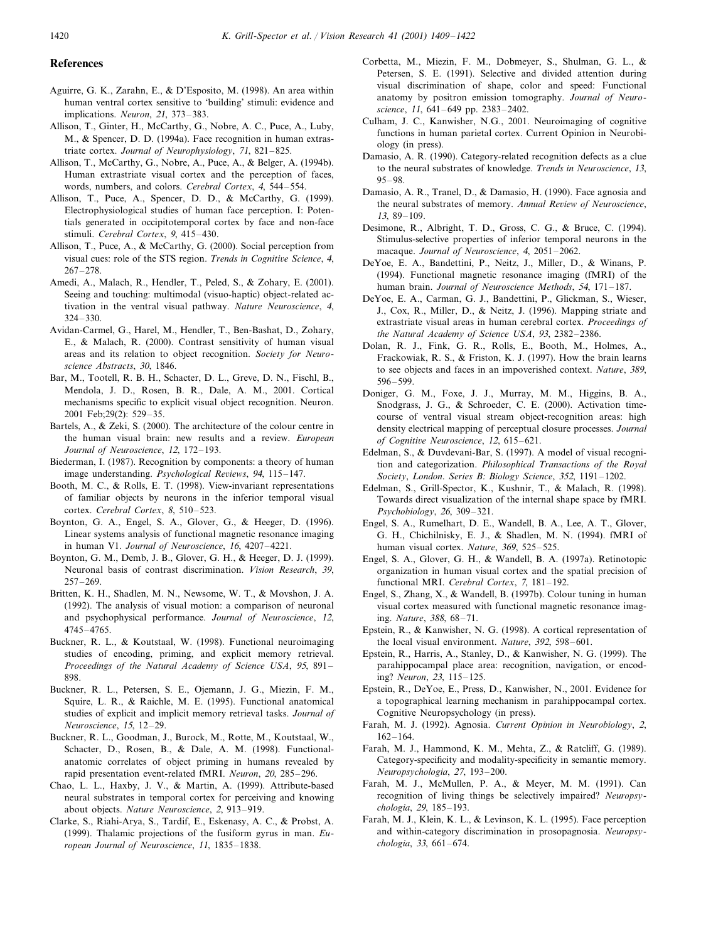#### **References**

- Aguirre, G. K., Zarahn, E., & D'Esposito, M. (1998). An area within human ventral cortex sensitive to 'building' stimuli: evidence and implications. *Neuron*, 21, 373–383.
- Allison, T., Ginter, H., McCarthy, G., Nobre, A. C., Puce, A., Luby, M., & Spencer, D. D. (1994a). Face recognition in human extrastriate cortex. *Journal of Neurophysiology*, 71, 821–825.
- Allison, T., McCarthy, G., Nobre, A., Puce, A., & Belger, A. (1994b). Human extrastriate visual cortex and the perception of faces, words, numbers, and colors. *Cerebral Cortex*, <sup>4</sup>, 544–554.
- Allison, T., Puce, A., Spencer, D. D., & McCarthy, G. (1999). Electrophysiological studies of human face perception. I: Potentials generated in occipitotemporal cortex by face and non-face stimuli. *Cerebral Cortex*, 9, 415–430.
- Allison, T., Puce, A., & McCarthy, G. (2000). Social perception from visual cues: role of the STS region. *Trends in Cognitie Science*, <sup>4</sup>, 267–278.
- Amedi, A., Malach, R., Hendler, T., Peled, S., & Zohary, E. (2001). Seeing and touching: multimodal (visuo-haptic) object-related activation in the ventral visual pathway. *Nature Neuroscience*, <sup>4</sup>, 324–330.
- Avidan-Carmel, G., Harel, M., Hendler, T., Ben-Bashat, D., Zohary, E., & Malach, R. (2000). Contrast sensitivity of human visual areas and its relation to object recognition. *Society for Neuroscience Abstracts*, 30, 1846.
- Bar, M., Tootell, R. B. H., Schacter, D. L., Greve, D. N., Fischl, B., Mendola, J. D., Rosen, B. R., Dale, A. M., 2001. Cortical mechanisms specific to explicit visual object recognition. Neuron. 2001 Feb;29(2): 529–35.
- Bartels, A., & Zeki, S. (2000). The architecture of the colour centre in the human visual brain: new results and a review. *European Journal of Neuroscience*, 12, 172–193.
- Biederman, I. (1987). Recognition by components: a theory of human image understanding. *Psychological Reiews*, <sup>94</sup>, 115–147.
- Booth, M. C., & Rolls, E. T. (1998). View-invariant representations of familiar objects by neurons in the inferior temporal visual cortex. *Cerebral Cortex*, 8, 510–523.
- Boynton, G. A., Engel, S. A., Glover, G., & Heeger, D. (1996). Linear systems analysis of functional magnetic resonance imaging in human V1. *Journal of Neuroscience*, 16, 4207–4221.
- Boynton, G. M., Demb, J. B., Glover, G. H., & Heeger, D. J. (1999). Neuronal basis of contrast discrimination. *Vision Research*, 39, 257–269.
- Britten, K. H., Shadlen, M. N., Newsome, W. T., & Movshon, J. A. (1992). The analysis of visual motion: a comparison of neuronal and psychophysical performance. *Journal of Neuroscience*, 12, 4745–4765.
- Buckner, R. L., & Koutstaal, W. (1998). Functional neuroimaging studies of encoding, priming, and explicit memory retrieval. *Proceedings of the Natural Academy of Science USA*, 95, 891– 898.
- Buckner, R. L., Petersen, S. E., Ojemann, J. G., Miezin, F. M., Squire, L. R., & Raichle, M. E. (1995). Functional anatomical studies of explicit and implicit memory retrieval tasks. *Journal of Neuroscience*, 15, 12–29.
- Buckner, R. L., Goodman, J., Burock, M., Rotte, M., Koutstaal, W., Schacter, D., Rosen, B., & Dale, A. M. (1998). Functionalanatomic correlates of object priming in humans revealed by rapid presentation event-related fMRI. *Neuron*, 20, 285–296.
- Chao, L. L., Haxby, J. V., & Martin, A. (1999). Attribute-based neural substrates in temporal cortex for perceiving and knowing about objects. *Nature Neuroscience*, <sup>2</sup>, 913–919.
- Clarke, S., Riahi-Arya, S., Tardif, E., Eskenasy, A. C., & Probst, A. (1999). Thalamic projections of the fusiform gyrus in man. *European Journal of Neuroscience*, 11, 1835–1838.
- Corbetta, M., Miezin, F. M., Dobmeyer, S., Shulman, G. L., & Petersen, S. E. (1991). Selective and divided attention during visual discrimination of shape, color and speed: Functional anatomy by positron emission tomography. *Journal of Neuroscience*, 11, 641–649 pp. 2383–2402.
- Culham, J. C., Kanwisher, N.G., 2001. Neuroimaging of cognitive functions in human parietal cortex. Current Opinion in Neurobiology (in press).
- Damasio, A. R. (1990). Category-related recognition defects as a clue to the neural substrates of knowledge. *Trends in Neuroscience*, 13, 95–98.
- Damasio, A. R., Tranel, D., & Damasio, H. (1990). Face agnosia and the neural substrates of memory. *Annual Reiew of Neuroscience*, 13, 89–109.
- Desimone, R., Albright, T. D., Gross, C. G., & Bruce, C. (1994). Stimulus-selective properties of inferior temporal neurons in the macaque. *Journal of Neuroscience*, <sup>4</sup>, 2051–2062.
- DeYoe, E. A., Bandettini, P., Neitz, J., Miller, D., & Winans, P. (1994). Functional magnetic resonance imaging (fMRI) of the human brain. *Journal of Neuroscience Methods*, 54, 171–187.
- DeYoe, E. A., Carman, G. J., Bandettini, P., Glickman, S., Wieser, J., Cox, R., Miller, D., & Neitz, J. (1996). Mapping striate and extrastriate visual areas in human cerebral cortex. *Proceedings of the Natural Academy of Science USA*, 93, 2382–2386.
- Dolan, R. J., Fink, G. R., Rolls, E., Booth, M., Holmes, A., Frackowiak, R. S., & Friston, K. J. (1997). How the brain learns to see objects and faces in an impoverished context. *Nature*, 389, 596–599.
- Doniger, G. M., Foxe, J. J., Murray, M. M., Higgins, B. A., Snodgrass, J. G., & Schroeder, C. E. (2000). Activation timecourse of ventral visual stream object-recognition areas: high density electrical mapping of perceptual closure processes. *Journal of Cognitie Neuroscience*, <sup>12</sup>, 615–621.
- Edelman, S., & Duvdevani-Bar, S. (1997). A model of visual recognition and categorization. *Philosophical Transactions of the Royal Society*, *London*. *Series B*: *Biology Science*, 352, 1191–1202.
- Edelman, S., Grill-Spector, K., Kushnir, T., & Malach, R. (1998). Towards direct visualization of the internal shape space by fMRI. *Psychobiology*, 26, 309–321.
- Engel, S. A., Rumelhart, D. E., Wandell, B. A., Lee, A. T., Glover, G. H., Chichilnisky, E. J., & Shadlen, M. N. (1994). fMRI of human visual cortex. *Nature*, 369, 525–525.
- Engel, S. A., Glover, G. H., & Wandell, B. A. (1997a). Retinotopic organization in human visual cortex and the spatial precision of functional MRI. *Cerebral Cortex*, <sup>7</sup>, 181–192.
- Engel, S., Zhang, X., & Wandell, B. (1997b). Colour tuning in human visual cortex measured with functional magnetic resonance imaging. *Nature*, 388, 68–71.
- Epstein, R., & Kanwisher, N. G. (1998). A cortical representation of the local visual environment. *Nature*, 392, 598–601.
- Epstein, R., Harris, A., Stanley, D., & Kanwisher, N. G. (1999). The parahippocampal place area: recognition, navigation, or encoding? *Neuron*, 23, 115–125.
- Epstein, R., DeYoe, E., Press, D., Kanwisher, N., 2001. Evidence for a topographical learning mechanism in parahippocampal cortex. Cognitive Neuropsychology (in press).
- Farah, M. J. (1992). Agnosia. *Current Opinion in Neurobiology*, <sup>2</sup>, 162–164.
- Farah, M. J., Hammond, K. M., Mehta, Z., & Ratcliff, G. (1989). Category-specificity and modality-specificity in semantic memory. *Neuropsychologia*, 27, 193–200.
- Farah, M. J., McMullen, P. A., & Meyer, M. M. (1991). Can recognition of living things be selectively impaired? *Neuropsychologia*, 29, 185–193.
- Farah, M. J., Klein, K. L., & Levinson, K. L. (1995). Face perception and within-category discrimination in prosopagnosia. *Neuropsychologia*, 33, 661–674.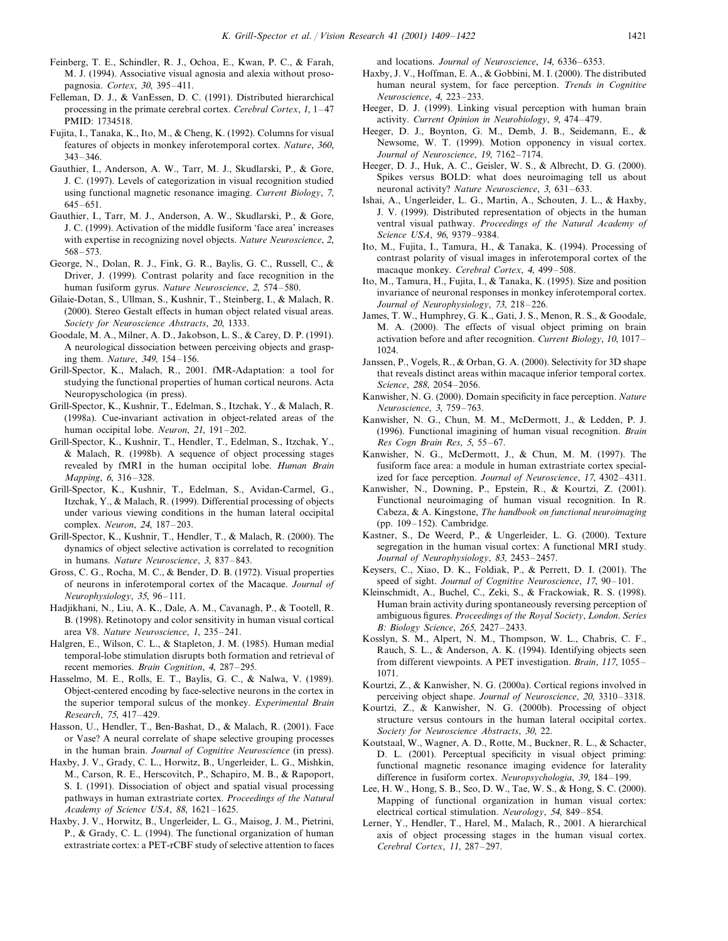- Feinberg, T. E., Schindler, R. J., Ochoa, E., Kwan, P. C., & Farah, M. J. (1994). Associative visual agnosia and alexia without prosopagnosia. *Cortex*, 30, 395–411.
- Felleman, D. J., & VanEssen, D. C. (1991). Distributed hierarchical processing in the primate cerebral cortex. *Cerebral Cortex*, 1, 1–47 PMID: 1734518.
- Fujita, I., Tanaka, K., Ito, M., & Cheng, K. (1992). Columns for visual features of objects in monkey inferotemporal cortex. *Nature*, 360, 343–346.
- Gauthier, I., Anderson, A. W., Tarr, M. J., Skudlarski, P., & Gore, J. C. (1997). Levels of categorization in visual recognition studied using functional magnetic resonance imaging. *Current Biology*, <sup>7</sup>, 645–651.
- Gauthier, I., Tarr, M. J., Anderson, A. W., Skudlarski, P., & Gore, J. C. (1999). Activation of the middle fusiform 'face area' increases with expertise in recognizing novel objects. *Nature Neuroscience*, <sup>2</sup>, 568–573.
- George, N., Dolan, R. J., Fink, G. R., Baylis, G. C., Russell, C., & Driver, J. (1999). Contrast polarity and face recognition in the human fusiform gyrus. *Nature Neuroscience*, <sup>2</sup>, 574–580.
- Gilaie-Dotan, S., Ullman, S., Kushnir, T., Steinberg, I., & Malach, R. (2000). Stereo Gestalt effects in human object related visual areas. *Society for Neuroscience Abstracts*, 20, 1333.
- Goodale, M. A., Milner, A. D., Jakobson, L. S., & Carey, D. P. (1991). A neurological dissociation between perceiving objects and grasping them. *Nature*, 349, 154–156.
- Grill-Spector, K., Malach, R., 2001. fMR-Adaptation: a tool for studying the functional properties of human cortical neurons. Acta Neuropyschologica (in press).
- Grill-Spector, K., Kushnir, T., Edelman, S., Itzchak, Y., & Malach, R. (1998a). Cue-invariant activation in object-related areas of the human occipital lobe. *Neuron*, 21, 191–202.
- Grill-Spector, K., Kushnir, T., Hendler, T., Edelman, S., Itzchak, Y., & Malach, R. (1998b). A sequence of object processing stages revealed by fMRI in the human occipital lobe. *Human Brain Mapping*, 6, 316–328.
- Grill-Spector, K., Kushnir, T., Edelman, S., Avidan-Carmel, G., Itzchak, Y., & Malach, R. (1999). Differential processing of objects under various viewing conditions in the human lateral occipital complex. *Neuron*, <sup>24</sup>, 187–203.
- Grill-Spector, K., Kushnir, T., Hendler, T., & Malach, R. (2000). The dynamics of object selective activation is correlated to recognition in humans. *Nature Neuroscience*, 3, 837–843.
- Gross, C. G., Rocha, M. C., & Bender, D. B. (1972). Visual properties of neurons in inferotemporal cortex of the Macaque. *Journal of Neurophysiology*, 35, 96–111.
- Hadjikhani, N., Liu, A. K., Dale, A. M., Cavanagh, P., & Tootell, R. B. (1998). Retinotopy and color sensitivity in human visual cortical area V8. *Nature Neuroscience*, 1, 235–241.
- Halgren, E., Wilson, C. L., & Stapleton, J. M. (1985). Human medial temporal-lobe stimulation disrupts both formation and retrieval of recent memories. *Brain Cognition*, <sup>4</sup>, 287–295.
- Hasselmo, M. E., Rolls, E. T., Baylis, G. C., & Nalwa, V. (1989). Object-centered encoding by face-selective neurons in the cortex in the superior temporal sulcus of the monkey. *Experimental Brain Research*, <sup>75</sup>, 417–429.
- Hasson, U., Hendler, T., Ben-Bashat, D., & Malach, R. (2001). Face or Vase? A neural correlate of shape selective grouping processes in the human brain. *Journal of Cognitie Neuroscience* (in press).
- Haxby, J. V., Grady, C. L., Horwitz, B., Ungerleider, L. G., Mishkin, M., Carson, R. E., Herscovitch, P., Schapiro, M. B., & Rapoport, S. I. (1991). Dissociation of object and spatial visual processing pathways in human extrastriate cortex. *Proceedings of the Natural Academy of Science USA*, 88, 1621–1625.
- Haxby, J. V., Horwitz, B., Ungerleider, L. G., Maisog, J. M., Pietrini, P., & Grady, C. L. (1994). The functional organization of human extrastriate cortex: a PET-rCBF study of selective attention to faces

and locations. *Journal of Neuroscience*, 14, 6336–6353.

- Haxby, J. V., Hoffman, E. A., & Gobbini, M. I. (2000). The distributed human neural system, for face perception. *Trends in Cognitie Neuroscience*, <sup>4</sup>, 223–233.
- Heeger, D. J. (1999). Linking visual perception with human brain activity. *Current Opinion in Neurobiology*, 9, 474–479.
- Heeger, D. J., Boynton, G. M., Demb, J. B., Seidemann, E., & Newsome, W. T. (1999). Motion opponency in visual cortex. *Journal of Neuroscience*, 19, 7162–7174.
- Heeger, D. J., Huk, A. C., Geisler, W. S., & Albrecht, D. G. (2000). Spikes versus BOLD: what does neuroimaging tell us about neuronal activity? *Nature Neuroscience*, 3, 631–633.
- Ishai, A., Ungerleider, L. G., Martin, A., Schouten, J. L., & Haxby, J. V. (1999). Distributed representation of objects in the human ventral visual pathway. *Proceedings of the Natural Academy of Science USA*, 96, 9379–9384.
- Ito, M., Fujita, I., Tamura, H., & Tanaka, K. (1994). Processing of contrast polarity of visual images in inferotemporal cortex of the macaque monkey. *Cerebral Cortex*, <sup>4</sup>, 499–508.
- Ito, M., Tamura, H., Fujita, I., & Tanaka, K. (1995). Size and position invariance of neuronal responses in monkey inferotemporal cortex. *Journal of Neurophysiology*, 73, 218–226.
- James, T. W., Humphrey, G. K., Gati, J. S., Menon, R. S., & Goodale, M. A. (2000). The effects of visual object priming on brain activation before and after recognition. *Current Biology*, 10, 1017– 1024.
- Janssen, P., Vogels, R., & Orban, G. A. (2000). Selectivity for 3D shape that reveals distinct areas within macaque inferior temporal cortex. *Science*, 288, 2054–2056.
- Kanwisher, N. G. (2000). Domain specificity in face perception. *Nature Neuroscience*, 3, 759–763.
- Kanwisher, N. G., Chun, M. M., McDermott, J., & Ledden, P. J. (1996). Functional imagining of human visual recognition. *Brain Res Cogn Brain Res*, <sup>5</sup>, 55–67.
- Kanwisher, N. G., McDermott, J., & Chun, M. M. (1997). The fusiform face area: a module in human extrastriate cortex specialized for face perception. *Journal of Neuroscience*, 17, 4302–4311.
- Kanwisher, N., Downing, P., Epstein, R., & Kourtzi, Z. (2001). Functional neuroimaging of human visual recognition. In R. Cabeza, & A. Kingstone, *The handbook on functional neuroimaging* (pp. 109–152). Cambridge.
- Kastner, S., De Weerd, P., & Ungerleider, L. G. (2000). Texture segregation in the human visual cortex: A functional MRI study. *Journal of Neurophysiology*, 83, 2453–2457.
- Keysers, C., Xiao, D. K., Foldiak, P., & Perrett, D. I. (2001). The speed of sight. *Journal of Cognitie Neuroscience*, <sup>17</sup>, 90–101.
- Kleinschmidt, A., Buchel, C., Zeki, S., & Frackowiak, R. S. (1998). Human brain activity during spontaneously reversing perception of ambiguous figures. *Proceedings of the Royal Society*, *London*. *Series B*: *Biology Science*, 265, 2427–2433.
- Kosslyn, S. M., Alpert, N. M., Thompson, W. L., Chabris, C. F., Rauch, S. L., & Anderson, A. K. (1994). Identifying objects seen from different viewpoints. A PET investigation. *Brain*, 117, 1055– 1071.
- Kourtzi, Z., & Kanwisher, N. G. (2000a). Cortical regions involved in perceiving object shape. *Journal of Neuroscience*, 20, 3310–3318.
- Kourtzi, Z., & Kanwisher, N. G. (2000b). Processing of object structure versus contours in the human lateral occipital cortex. *Society for Neuroscience Abstracts*, 30, 22.
- Koutstaal, W., Wagner, A. D., Rotte, M., Buckner, R. L., & Schacter, D. L. (2001). Perceptual specificity in visual object priming: functional magnetic resonance imaging evidence for laterality difference in fusiform cortex. *Neuropsychologia*, 39, 184–199.
- Lee, H. W., Hong, S. B., Seo, D. W., Tae, W. S., & Hong, S. C. (2000). Mapping of functional organization in human visual cortex: electrical cortical stimulation. *Neurology*, 54, 849–854.
- Lerner, Y., Hendler, T., Harel, M., Malach, R., 2001. A hierarchical axis of object processing stages in the human visual cortex. *Cerebral Cortex*, 11, 287–297.